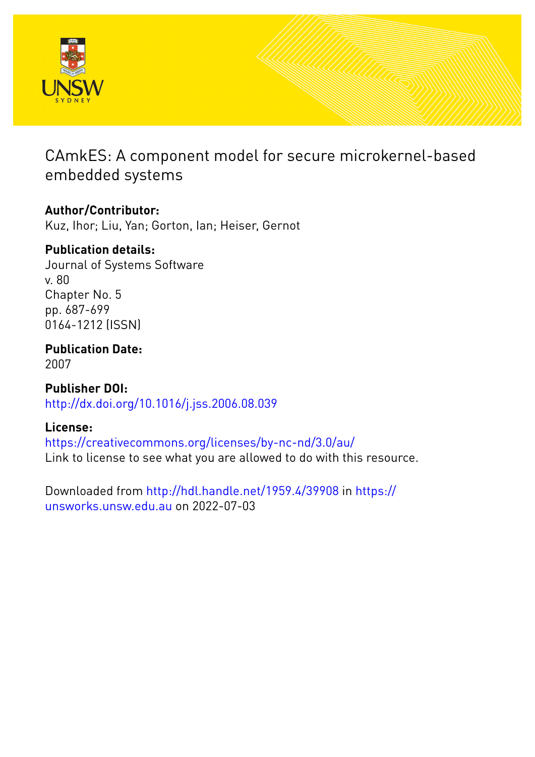

# CAmkES: A component model for secure microkernel-based embedded systems

# **Author/Contributor:**

Kuz, Ihor; Liu, Yan; Gorton, Ian; Heiser, Gernot

# **Publication details:**

Journal of Systems Software v. 80 Chapter No. 5 pp. 687-699 0164-1212 (ISSN)

**Publication Date:** 2007

**Publisher DOI:** [http://dx.doi.org/10.1016/j.jss.2006.08.039](http://dx.doi.org/http://dx.doi.org/10.1016/j.jss.2006.08.039)

# **License:**

<https://creativecommons.org/licenses/by-nc-nd/3.0/au/> Link to license to see what you are allowed to do with this resource.

Downloaded from <http://hdl.handle.net/1959.4/39908> in [https://](https://unsworks.unsw.edu.au) [unsworks.unsw.edu.au](https://unsworks.unsw.edu.au) on 2022-07-03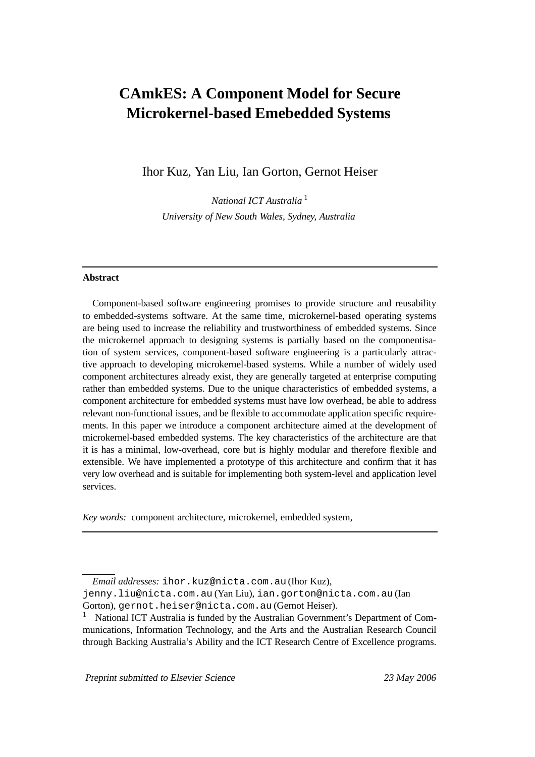# **CAmkES: A Component Model for Secure Microkernel-based Emebedded Systems**

Ihor Kuz, Yan Liu, Ian Gorton, Gernot Heiser

*National ICT Australia* <sup>1</sup> *University of New South Wales, Sydney, Australia*

#### **Abstract**

Component-based software engineering promises to provide structure and reusability to embedded-systems software. At the same time, microkernel-based operating systems are being used to increase the reliability and trustworthiness of embedded systems. Since the microkernel approach to designing systems is partially based on the componentisation of system services, component-based software engineering is a particularly attractive approach to developing microkernel-based systems. While a number of widely used component architectures already exist, they are generally targeted at enterprise computing rather than embedded systems. Due to the unique characteristics of embedded systems, a component architecture for embedded systems must have low overhead, be able to address relevant non-functional issues, and be flexible to accommodate application specific requirements. In this paper we introduce a component architecture aimed at the development of microkernel-based embedded systems. The key characteristics of the architecture are that it is has a minimal, low-overhead, core but is highly modular and therefore flexible and extensible. We have implemented a prototype of this architecture and confirm that it has very low overhead and is suitable for implementing both system-level and application level services.

*Key words:* component architecture, microkernel, embedded system,

Preprint submitted to Elsevier Science 23 May 2006

*Email addresses:* ihor.kuz@nicta.com.au (Ihor Kuz),

jenny.liu@nicta.com.au (Yan Liu), ian.gorton@nicta.com.au (Ian Gorton), gernot.heiser@nicta.com.au (Gernot Heiser).

<sup>1</sup> National ICT Australia is funded by the Australian Government's Department of Communications, Information Technology, and the Arts and the Australian Research Council through Backing Australia's Ability and the ICT Research Centre of Excellence programs.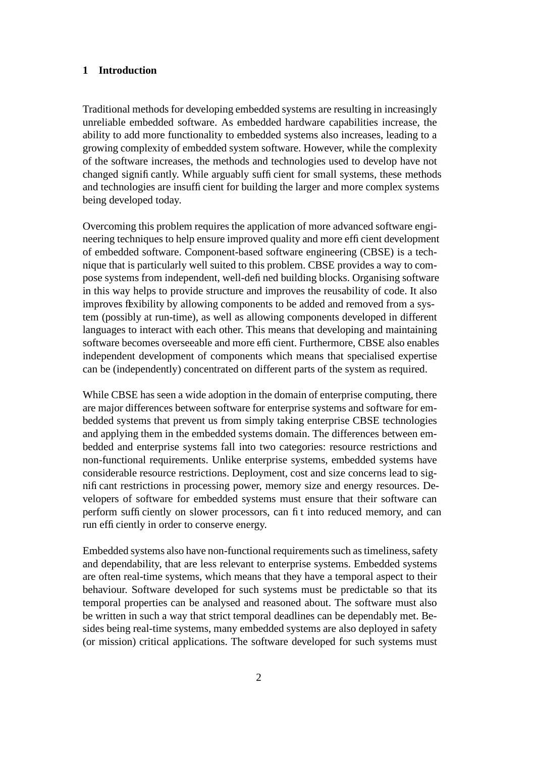### **1 Introduction**

Traditional methods for developing embedded systems are resulting in increasingly unreliable embedded software. As embedded hardware capabilities increase, the ability to add more functionality to embedded systems also increases, leading to a growing complexity of embedded system software. However, while the complexity of the software increases, the methods and technologies used to develop have not changed significantly. While arguably sufficient for small systems, these methods and technologies are insufficient for building the larger and more complex systems being developed today.

Overcoming this problem requires the application of more advanced software engineering techniques to help ensure improved quality and more efficient development of embedded software. Component-based software engineering (CBSE) is a technique that is particularly well suited to this problem. CBSE provides a way to compose systems from independent, well-defined building blocks. Organising software in this way helps to provide structure and improves the reusability of code. It also improves flexibility by allowing components to be added and removed from a system (possibly at run-time), as well as allowing components developed in different languages to interact with each other. This means that developing and maintaining software becomes overseeable and more efficient. Furthermore, CBSE also enables independent development of components which means that specialised expertise can be (independently) concentrated on different parts of the system as required.

While CBSE has seen a wide adoption in the domain of enterprise computing, there are major differences between software for enterprise systems and software for embedded systems that prevent us from simply taking enterprise CBSE technologies and applying them in the embedded systems domain. The differences between embedded and enterprise systems fall into two categories: resource restrictions and non-functional requirements. Unlike enterprise systems, embedded systems have considerable resource restrictions. Deployment, cost and size concerns lead to significant restrictions in processing power, memory size and energy resources. Developers of software for embedded systems must ensure that their software can perform sufficiently on slower processors, can fit into reduced memory, and can run efficiently in order to conserve energy.

Embedded systems also have non-functional requirements such as timeliness, safety and dependability, that are less relevant to enterprise systems. Embedded systems are often real-time systems, which means that they have a temporal aspect to their behaviour. Software developed for such systems must be predictable so that its temporal properties can be analysed and reasoned about. The software must also be written in such a way that strict temporal deadlines can be dependably met. Besides being real-time systems, many embedded systems are also deployed in safety (or mission) critical applications. The software developed for such systems must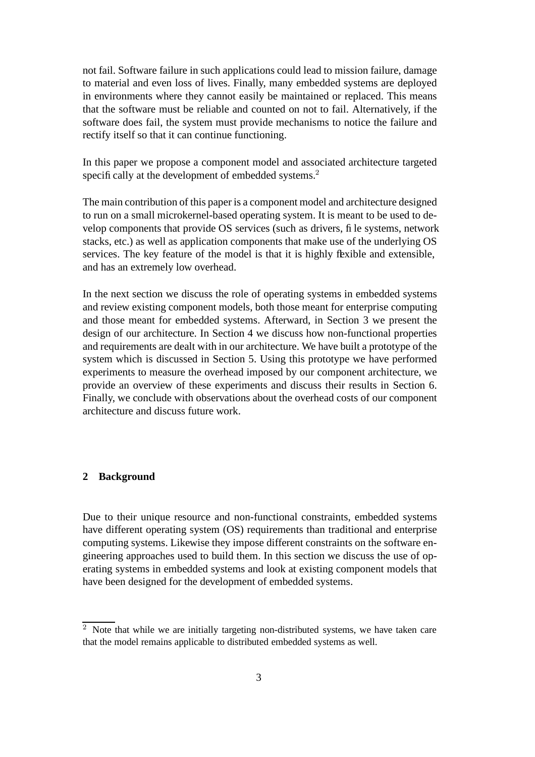not fail. Software failure in such applications could lead to mission failure, damage to material and even loss of lives. Finally, many embedded systems are deployed in environments where they cannot easily be maintained or replaced. This means that the software must be reliable and counted on not to fail. Alternatively, if the software does fail, the system must provide mechanisms to notice the failure and rectify itself so that it can continue functioning.

In this paper we propose a component model and associated architecture targeted specifically at the development of embedded systems.<sup>2</sup>

The main contribution of this paper is a component model and architecture designed to run on a small microkernel-based operating system. It is meant to be used to develop components that provide OS services (such as drivers, file systems, network stacks, etc.) as well as application components that make use of the underlying OS services. The key feature of the model is that it is highly flexible and extensible, and has an extremely low overhead.

In the next section we discuss the role of operating systems in embedded systems and review existing component models, both those meant for enterprise computing and those meant for embedded systems. Afterward, in Section 3 we present the design of our architecture. In Section 4 we discuss how non-functional properties and requirements are dealt with in our architecture. We have built a prototype of the system which is discussed in Section 5. Using this prototype we have performed experiments to measure the overhead imposed by our component architecture, we provide an overview of these experiments and discuss their results in Section 6. Finally, we conclude with observations about the overhead costs of our component architecture and discuss future work.

## **2 Background**

Due to their unique resource and non-functional constraints, embedded systems have different operating system (OS) requirements than traditional and enterprise computing systems. Likewise they impose different constraints on the software engineering approaches used to build them. In this section we discuss the use of operating systems in embedded systems and look at existing component models that have been designed for the development of embedded systems.

 $2$  Note that while we are initially targeting non-distributed systems, we have taken care that the model remains applicable to distributed embedded systems as well.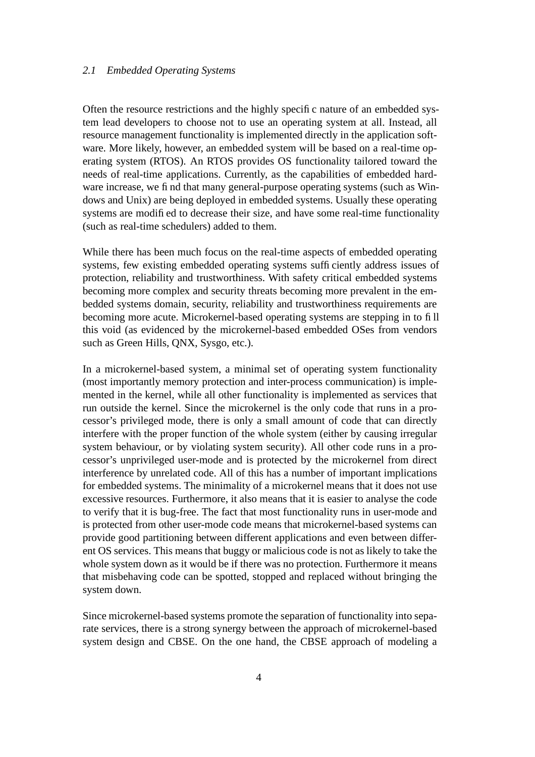#### *2.1 Embedded Operating Systems*

Often the resource restrictions and the highly specific nature of an embedded system lead developers to choose not to use an operating system at all. Instead, all resource management functionality is implemented directly in the application software. More likely, however, an embedded system will be based on a real-time operating system (RTOS). An RTOS provides OS functionality tailored toward the needs of real-time applications. Currently, as the capabilities of embedded hardware increase, we find that many general-purpose operating systems (such as Windows and Unix) are being deployed in embedded systems. Usually these operating systems are modified to decrease their size, and have some real-time functionality (such as real-time schedulers) added to them.

While there has been much focus on the real-time aspects of embedded operating systems, few existing embedded operating systems sufficiently address issues of protection, reliability and trustworthiness. With safety critical embedded systems becoming more complex and security threats becoming more prevalent in the embedded systems domain, security, reliability and trustworthiness requirements are becoming more acute. Microkernel-based operating systems are stepping in to fill this void (as evidenced by the microkernel-based embedded OSes from vendors such as Green Hills, QNX, Sysgo, etc.).

In a microkernel-based system, a minimal set of operating system functionality (most importantly memory protection and inter-process communication) is implemented in the kernel, while all other functionality is implemented as services that run outside the kernel. Since the microkernel is the only code that runs in a processor's privileged mode, there is only a small amount of code that can directly interfere with the proper function of the whole system (either by causing irregular system behaviour, or by violating system security). All other code runs in a processor's unprivileged user-mode and is protected by the microkernel from direct interference by unrelated code. All of this has a number of important implications for embedded systems. The minimality of a microkernel means that it does not use excessive resources. Furthermore, it also means that it is easier to analyse the code to verify that it is bug-free. The fact that most functionality runs in user-mode and is protected from other user-mode code means that microkernel-based systems can provide good partitioning between different applications and even between different OS services. This means that buggy or malicious code is not as likely to take the whole system down as it would be if there was no protection. Furthermore it means that misbehaving code can be spotted, stopped and replaced without bringing the system down.

Since microkernel-based systems promote the separation of functionality into separate services, there is a strong synergy between the approach of microkernel-based system design and CBSE. On the one hand, the CBSE approach of modeling a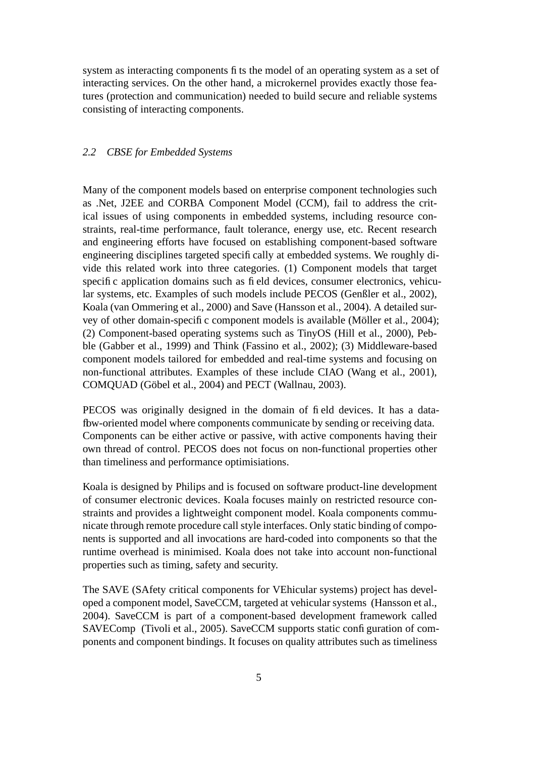system as interacting components fits the model of an operating system as a set of interacting services. On the other hand, a microkernel provides exactly those features (protection and communication) needed to build secure and reliable systems consisting of interacting components.

#### *2.2 CBSE for Embedded Systems*

Many of the component models based on enterprise component technologies such as .Net, J2EE and CORBA Component Model (CCM), fail to address the critical issues of using components in embedded systems, including resource constraints, real-time performance, fault tolerance, energy use, etc. Recent research and engineering efforts have focused on establishing component-based software engineering disciplines targeted specifically at embedded systems. We roughly divide this related work into three categories. (1) Component models that target specific application domains such as field devices, consumer electronics, vehicular systems, etc. Examples of such models include PECOS (Genßler et al., 2002), Koala (van Ommering et al., 2000) and Save (Hansson et al., 2004). A detailed survey of other domain-specific component models is available (Möller et al., 2004); (2) Component-based operating systems such as TinyOS (Hill et al., 2000), Pebble (Gabber et al., 1999) and Think (Fassino et al., 2002); (3) Middleware-based component models tailored for embedded and real-time systems and focusing on non-functional attributes. Examples of these include CIAO (Wang et al., 2001), COMQUAD (Göbel et al., 2004) and PECT (Wallnau, 2003).

PECOS was originally designed in the domain of field devices. It has a dataflow-oriented model where components communicate by sending or receiving data. Components can be either active or passive, with active components having their own thread of control. PECOS does not focus on non-functional properties other than timeliness and performance optimisiations.

Koala is designed by Philips and is focused on software product-line development of consumer electronic devices. Koala focuses mainly on restricted resource constraints and provides a lightweight component model. Koala components communicate through remote procedure call style interfaces. Only static binding of components is supported and all invocations are hard-coded into components so that the runtime overhead is minimised. Koala does not take into account non-functional properties such as timing, safety and security.

The SAVE (SAfety critical components for VEhicular systems) project has developed a component model, SaveCCM, targeted at vehicular systems (Hansson et al., 2004). SaveCCM is part of a component-based development framework called SAVEComp (Tivoli et al., 2005). SaveCCM supports static configuration of components and component bindings. It focuses on quality attributes such as timeliness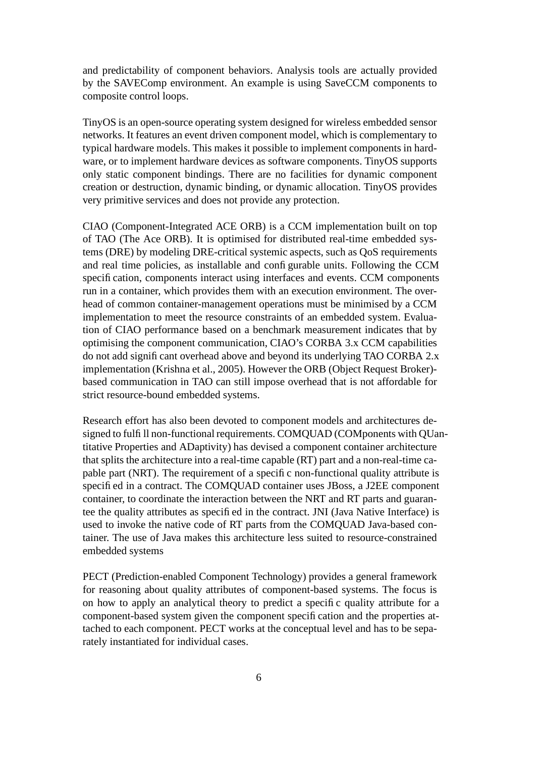and predictability of component behaviors. Analysis tools are actually provided by the SAVEComp environment. An example is using SaveCCM components to composite control loops.

TinyOS is an open-source operating system designed for wireless embedded sensor networks. It features an event driven component model, which is complementary to typical hardware models. This makes it possible to implement components in hardware, or to implement hardware devices as software components. TinyOS supports only static component bindings. There are no facilities for dynamic component creation or destruction, dynamic binding, or dynamic allocation. TinyOS provides very primitive services and does not provide any protection.

CIAO (Component-Integrated ACE ORB) is a CCM implementation built on top of TAO (The Ace ORB). It is optimised for distributed real-time embedded systems (DRE) by modeling DRE-critical systemic aspects, such as QoS requirements and real time policies, as installable and configurable units. Following the CCM specification, components interact using interfaces and events. CCM components run in a container, which provides them with an execution environment. The overhead of common container-management operations must be minimised by a CCM implementation to meet the resource constraints of an embedded system. Evaluation of CIAO performance based on a benchmark measurement indicates that by optimising the component communication, CIAO's CORBA 3.x CCM capabilities do not add significant overhead above and beyond its underlying TAO CORBA 2.x implementation (Krishna et al., 2005). However the ORB (Object Request Broker) based communication in TAO can still impose overhead that is not affordable for strict resource-bound embedded systems.

Research effort has also been devoted to component models and architectures designed to fulfill non-functional requirements. COMQUAD (COMponents with QUantitative Properties and ADaptivity) has devised a component container architecture that splits the architecture into a real-time capable (RT) part and a non-real-time capable part (NRT). The requirement of a specific non-functional quality attribute is specified in a contract. The COMQUAD container uses JBoss, a J2EE component container, to coordinate the interaction between the NRT and RT parts and guarantee the quality attributes as specified in the contract. JNI (Java Native Interface) is used to invoke the native code of RT parts from the COMQUAD Java-based container. The use of Java makes this architecture less suited to resource-constrained embedded systems

PECT (Prediction-enabled Component Technology) provides a general framework for reasoning about quality attributes of component-based systems. The focus is on how to apply an analytical theory to predict a specific quality attribute for a component-based system given the component specification and the properties attached to each component. PECT works at the conceptual level and has to be separately instantiated for individual cases.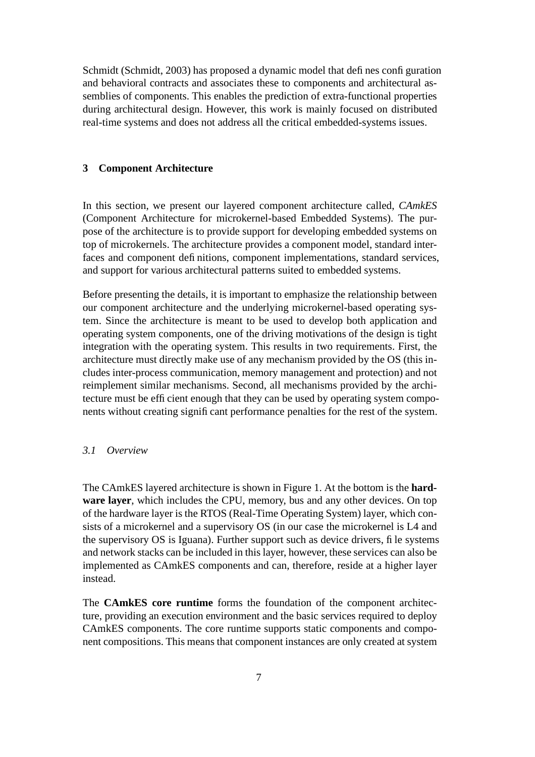Schmidt (Schmidt, 2003) has proposed a dynamic model that defines configuration and behavioral contracts and associates these to components and architectural assemblies of components. This enables the prediction of extra-functional properties during architectural design. However, this work is mainly focused on distributed real-time systems and does not address all the critical embedded-systems issues.

#### **3 Component Architecture**

In this section, we present our layered component architecture called, *CAmkES* (Component Architecture for microkernel-based Embedded Systems). The purpose of the architecture is to provide support for developing embedded systems on top of microkernels. The architecture provides a component model, standard interfaces and component definitions, component implementations, standard services, and support for various architectural patterns suited to embedded systems.

Before presenting the details, it is important to emphasize the relationship between our component architecture and the underlying microkernel-based operating system. Since the architecture is meant to be used to develop both application and operating system components, one of the driving motivations of the design is tight integration with the operating system. This results in two requirements. First, the architecture must directly make use of any mechanism provided by the OS (this includes inter-process communication, memory management and protection) and not reimplement similar mechanisms. Second, all mechanisms provided by the architecture must be efficient enough that they can be used by operating system components without creating significant performance penalties for the rest of the system.

#### *3.1 Overview*

The CAmkES layered architecture is shown in Figure 1. At the bottom is the **hardware layer**, which includes the CPU, memory, bus and any other devices. On top of the hardware layer is the RTOS (Real-Time Operating System) layer, which consists of a microkernel and a supervisory OS (in our case the microkernel is L4 and the supervisory OS is Iguana). Further support such as device drivers, file systems and network stacks can be included in thislayer, however, these services can also be implemented as CAmkES components and can, therefore, reside at a higher layer instead.

The **CAmkES core runtime** forms the foundation of the component architecture, providing an execution environment and the basic services required to deploy CAmkES components. The core runtime supports static components and component compositions. This means that component instances are only created at system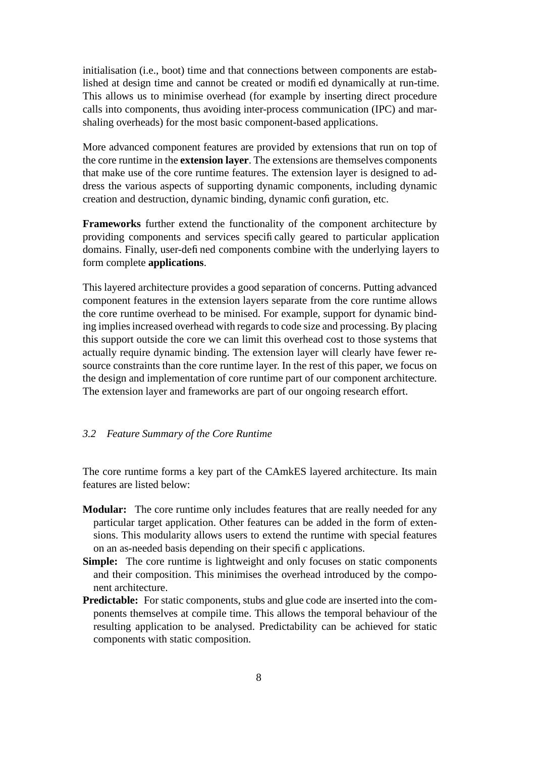initialisation (i.e., boot) time and that connections between components are established at design time and cannot be created or modified dynamically at run-time. This allows us to minimise overhead (for example by inserting direct procedure calls into components, thus avoiding inter-process communication (IPC) and marshaling overheads) for the most basic component-based applications.

More advanced component features are provided by extensions that run on top of the core runtime in the **extension layer**. The extensions are themselves components that make use of the core runtime features. The extension layer is designed to address the various aspects of supporting dynamic components, including dynamic creation and destruction, dynamic binding, dynamic configuration, etc.

**Frameworks** further extend the functionality of the component architecture by providing components and services specifically geared to particular application domains. Finally, user-defined components combine with the underlying layers to form complete **applications**.

This layered architecture provides a good separation of concerns. Putting advanced component features in the extension layers separate from the core runtime allows the core runtime overhead to be minised. For example, support for dynamic binding implies increased overhead with regards to code size and processing. By placing this support outside the core we can limit this overhead cost to those systems that actually require dynamic binding. The extension layer will clearly have fewer resource constraints than the core runtime layer. In the rest of this paper, we focus on the design and implementation of core runtime part of our component architecture. The extension layer and frameworks are part of our ongoing research effort.

## *3.2 Feature Summary of the Core Runtime*

The core runtime forms a key part of the CAmkES layered architecture. Its main features are listed below:

- **Modular:** The core runtime only includes features that are really needed for any particular target application. Other features can be added in the form of extensions. This modularity allows users to extend the runtime with special features on an as-needed basis depending on their specific applications.
- **Simple:** The core runtime is lightweight and only focuses on static components and their composition. This minimises the overhead introduced by the component architecture.
- **Predictable:** For static components, stubs and glue code are inserted into the components themselves at compile time. This allows the temporal behaviour of the resulting application to be analysed. Predictability can be achieved for static components with static composition.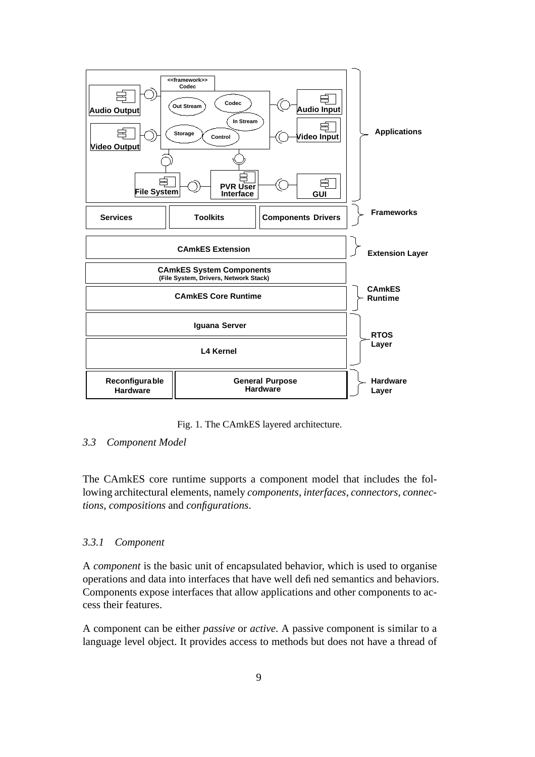

Fig. 1. The CAmkES layered architecture.

# *3.3 Component Model*

The CAmkES core runtime supports a component model that includes the following architectural elements, namely *components*, *interfaces*, *connectors*, *connections*, *compositions* and *configurations*.

# *3.3.1 Component*

A *component* is the basic unit of encapsulated behavior, which is used to organise operations and data into interfaces that have well defined semantics and behaviors. Components expose interfaces that allow applications and other components to access their features.

A component can be either *passive* or *active*. A passive component is similar to a language level object. It provides access to methods but does not have a thread of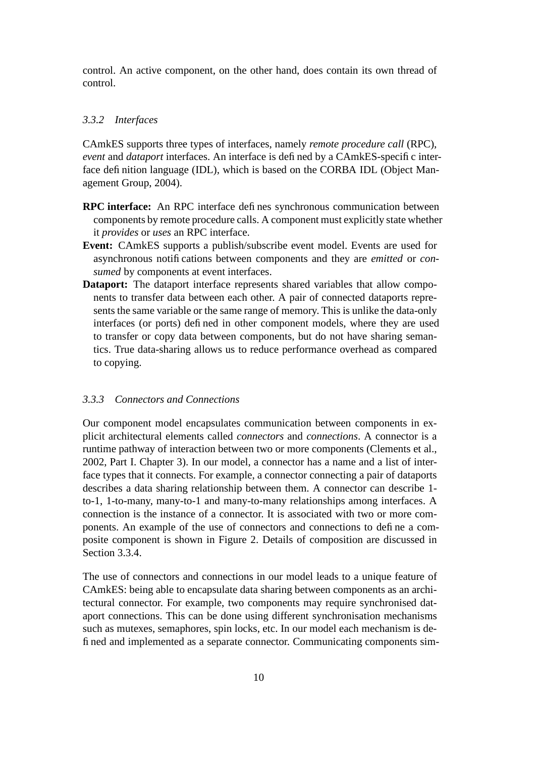control. An active component, on the other hand, does contain its own thread of control.

#### *3.3.2 Interfaces*

CAmkES supports three types of interfaces, namely *remote procedure call* (RPC), *event* and *dataport* interfaces. An interface is defined by a CAmkES-specific interface definition language (IDL), which is based on the CORBA IDL (Object Management Group, 2004).

- **RPC interface:** An RPC interface defines synchronous communication between components by remote procedure calls. A component must explicitly state whether it *provides* or *uses* an RPC interface.
- **Event:** CAmkES supports a publish/subscribe event model. Events are used for asynchronous notifications between components and they are *emitted* or *consumed* by components at event interfaces.
- **Dataport:** The dataport interface represents shared variables that allow components to transfer data between each other. A pair of connected dataports represents the same variable or the same range of memory. This is unlike the data-only interfaces (or ports) defined in other component models, where they are used to transfer or copy data between components, but do not have sharing semantics. True data-sharing allows us to reduce performance overhead as compared to copying.

### *3.3.3 Connectors and Connections*

Our component model encapsulates communication between components in explicit architectural elements called *connectors* and *connections*. A connector is a runtime pathway of interaction between two or more components (Clements et al., 2002, Part I. Chapter 3). In our model, a connector has a name and a list of interface types that it connects. For example, a connector connecting a pair of dataports describes a data sharing relationship between them. A connector can describe 1 to-1, 1-to-many, many-to-1 and many-to-many relationships among interfaces. A connection is the instance of a connector. It is associated with two or more components. An example of the use of connectors and connections to define a composite component is shown in Figure 2. Details of composition are discussed in Section 3.3.4.

The use of connectors and connections in our model leads to a unique feature of CAmkES: being able to encapsulate data sharing between components as an architectural connector. For example, two components may require synchronised dataport connections. This can be done using different synchronisation mechanisms such as mutexes, semaphores, spin locks, etc. In our model each mechanism is defined and implemented as a separate connector. Communicating components sim-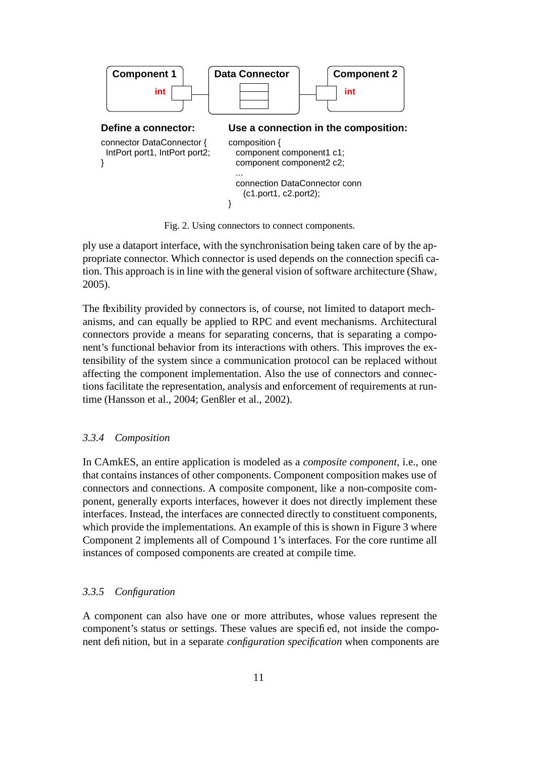

Fig. 2. Using connectors to connect components.

ply use a dataport interface, with the synchronisation being taken care of by the appropriate connector. Which connector is used depends on the connection specification. This approach is in line with the general vision of software architecture (Shaw, 2005).

The flexibility provided by connectors is, of course, not limited to dataport mechanisms, and can equally be applied to RPC and event mechanisms. Architectural connectors provide a means for separating concerns, that is separating a component's functional behavior from its interactions with others. This improves the extensibility of the system since a communication protocol can be replaced without affecting the component implementation. Also the use of connectors and connections facilitate the representation, analysis and enforcement of requirements at runtime (Hansson et al., 2004; Genßler et al., 2002).

#### *3.3.4 Composition*

In CAmkES, an entire application is modeled as a *composite component*, i.e., one that contains instances of other components. Component composition makes use of connectors and connections. A composite component, like a non-composite component, generally exports interfaces, however it does not directly implement these interfaces. Instead, the interfaces are connected directly to constituent components, which provide the implementations. An example of this is shown in Figure 3 where Component 2 implements all of Compound 1's interfaces. For the core runtime all instances of composed components are created at compile time.

#### *3.3.5 Configuration*

A component can also have one or more attributes, whose values represent the component's status or settings. These values are specified, not inside the component definition, but in a separate *configuration specification* when components are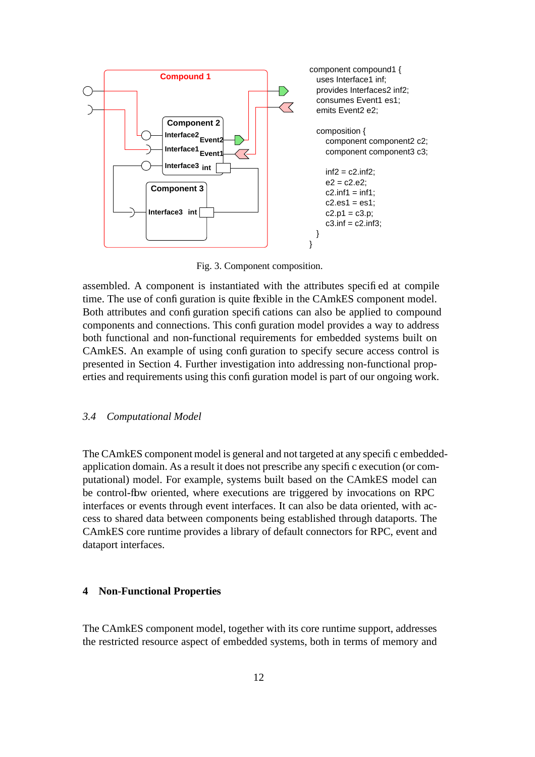

Fig. 3. Component composition.

assembled. A component is instantiated with the attributes specified at compile time. The use of configuration is quite flexible in the CAmkES component model. Both attributes and configuration specifications can also be applied to compound components and connections. This configuration model provides a way to address both functional and non-functional requirements for embedded systems built on CAmkES. An example of using configuration to specify secure access control is presented in Section 4. Further investigation into addressing non-functional properties and requirements using this configuration model is part of our ongoing work.

#### *3.4 Computational Model*

The CAmkES component model is general and not targeted at any specific embeddedapplication domain. As a result it does not prescribe any specific execution (or computational) model. For example, systems built based on the CAmkES model can be control-flow oriented, where executions are triggered by invocations on RPC interfaces or events through event interfaces. It can also be data oriented, with access to shared data between components being established through dataports. The CAmkES core runtime provides a library of default connectors for RPC, event and dataport interfaces.

## **4 Non-Functional Properties**

The CAmkES component model, together with its core runtime support, addresses the restricted resource aspect of embedded systems, both in terms of memory and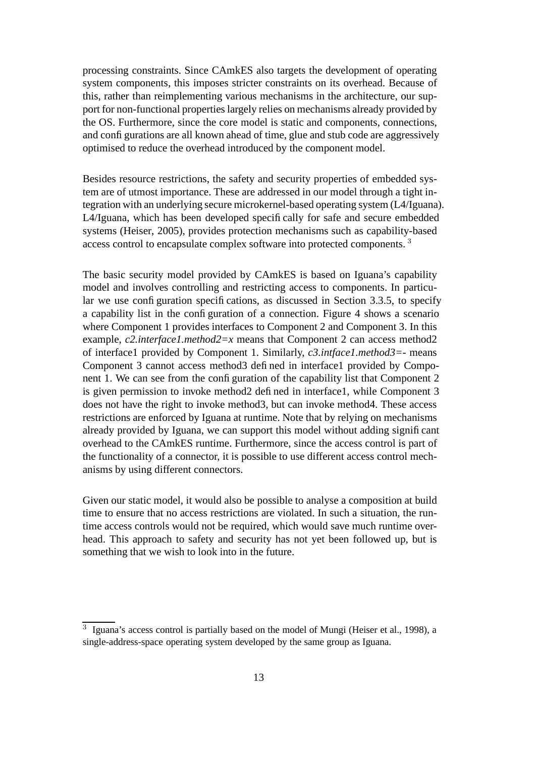processing constraints. Since CAmkES also targets the development of operating system components, this imposes stricter constraints on its overhead. Because of this, rather than reimplementing various mechanisms in the architecture, our support for non-functional properties largely relies on mechanisms already provided by the OS. Furthermore, since the core model is static and components, connections, and configurations are all known ahead of time, glue and stub code are aggressively optimised to reduce the overhead introduced by the component model.

Besides resource restrictions, the safety and security properties of embedded system are of utmost importance. These are addressed in our model through a tight integration with an underlying secure microkernel-based operating system (L4/Iguana). L4/Iguana, which has been developed specifically for safe and secure embedded systems (Heiser, 2005), provides protection mechanisms such as capability-based access control to encapsulate complex software into protected components.<sup>3</sup>

The basic security model provided by CAmkES is based on Iguana's capability model and involves controlling and restricting access to components. In particular we use configuration specifications, as discussed in Section 3.3.5, to specify a capability list in the configuration of a connection. Figure 4 shows a scenario where Component 1 provides interfaces to Component 2 and Component 3. In this example, *c2.interface1.method2=x* means that Component 2 can access method2 of interface1 provided by Component 1. Similarly, *c3.intface1.method3=-* means Component 3 cannot access method3 defined in interface1 provided by Component 1. We can see from the configuration of the capability list that Component 2 is given permission to invoke method2 defined in interface1, while Component 3 does not have the right to invoke method3, but can invoke method4. These access restrictions are enforced by Iguana at runtime. Note that by relying on mechanisms already provided by Iguana, we can support this model without adding significant overhead to the CAmkES runtime. Furthermore, since the access control is part of the functionality of a connector, it is possible to use different access control mechanisms by using different connectors.

Given our static model, it would also be possible to analyse a composition at build time to ensure that no access restrictions are violated. In such a situation, the runtime access controls would not be required, which would save much runtime overhead. This approach to safety and security has not yet been followed up, but is something that we wish to look into in the future.

 $\overline{3}$  Iguana's access control is partially based on the model of Mungi (Heiser et al., 1998), a single-address-space operating system developed by the same group as Iguana.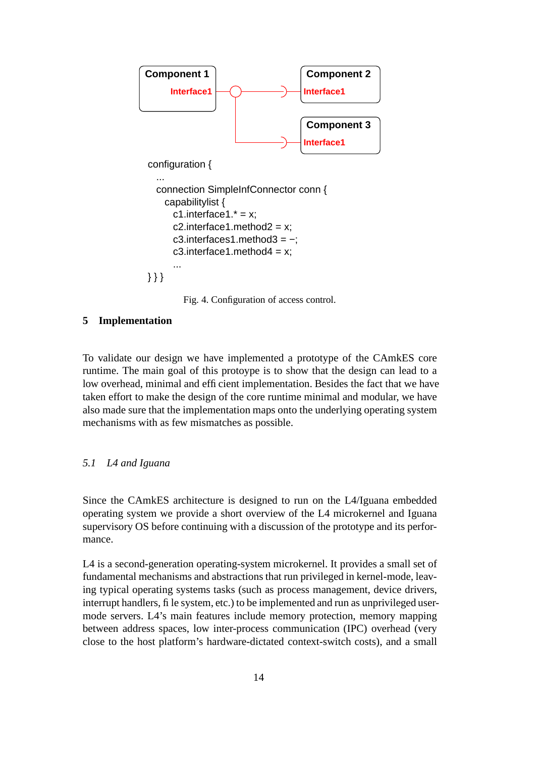

Fig. 4. Configuration of access control.

### **5 Implementation**

To validate our design we have implemented a prototype of the CAmkES core runtime. The main goal of this protoype is to show that the design can lead to a low overhead, minimal and efficient implementation. Besides the fact that we have taken effort to make the design of the core runtime minimal and modular, we have also made sure that the implementation maps onto the underlying operating system mechanisms with as few mismatches as possible.

#### *5.1 L4 and Iguana*

Since the CAmkES architecture is designed to run on the L4/Iguana embedded operating system we provide a short overview of the L4 microkernel and Iguana supervisory OS before continuing with a discussion of the prototype and its performance.

L4 is a second-generation operating-system microkernel. It provides a small set of fundamental mechanisms and abstractions that run privileged in kernel-mode, leaving typical operating systems tasks (such as process management, device drivers, interrupt handlers, file system, etc.) to be implemented and run as unprivileged usermode servers. L4's main features include memory protection, memory mapping between address spaces, low inter-process communication (IPC) overhead (very close to the host platform's hardware-dictated context-switch costs), and a small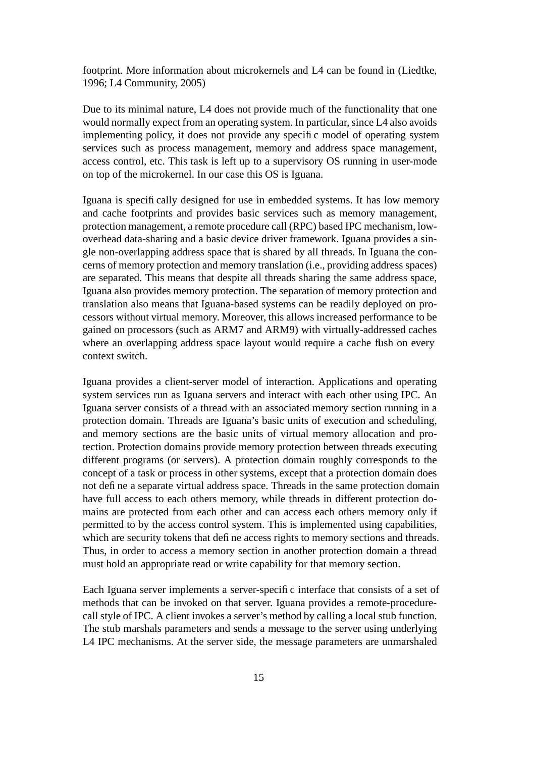footprint. More information about microkernels and L4 can be found in (Liedtke, 1996; L4 Community, 2005)

Due to its minimal nature, L4 does not provide much of the functionality that one would normally expect from an operating system. In particular, since L4 also avoids implementing policy, it does not provide any specific model of operating system services such as process management, memory and address space management, access control, etc. This task is left up to a supervisory OS running in user-mode on top of the microkernel. In our case this OS is Iguana.

Iguana is specifically designed for use in embedded systems. It has low memory and cache footprints and provides basic services such as memory management, protection management, a remote procedure call (RPC) based IPC mechanism, lowoverhead data-sharing and a basic device driver framework. Iguana provides a single non-overlapping address space that is shared by all threads. In Iguana the concerns of memory protection and memory translation (i.e., providing address spaces) are separated. This means that despite all threads sharing the same address space, Iguana also provides memory protection. The separation of memory protection and translation also means that Iguana-based systems can be readily deployed on processors without virtual memory. Moreover, this allows increased performance to be gained on processors (such as ARM7 and ARM9) with virtually-addressed caches where an overlapping address space layout would require a cache flush on every context switch.

Iguana provides a client-server model of interaction. Applications and operating system services run as Iguana servers and interact with each other using IPC. An Iguana server consists of a thread with an associated memory section running in a protection domain. Threads are Iguana's basic units of execution and scheduling, and memory sections are the basic units of virtual memory allocation and protection. Protection domains provide memory protection between threads executing different programs (or servers). A protection domain roughly corresponds to the concept of a task or process in other systems, except that a protection domain does not define a separate virtual address space. Threads in the same protection domain have full access to each others memory, while threads in different protection domains are protected from each other and can access each others memory only if permitted to by the access control system. This is implemented using capabilities, which are security tokens that define access rights to memory sections and threads. Thus, in order to access a memory section in another protection domain a thread must hold an appropriate read or write capability for that memory section.

Each Iguana server implements a server-specific interface that consists of a set of methods that can be invoked on that server. Iguana provides a remote-procedurecall style of IPC. A client invokes a server's method by calling a local stub function. The stub marshals parameters and sends a message to the server using underlying L4 IPC mechanisms. At the server side, the message parameters are unmarshaled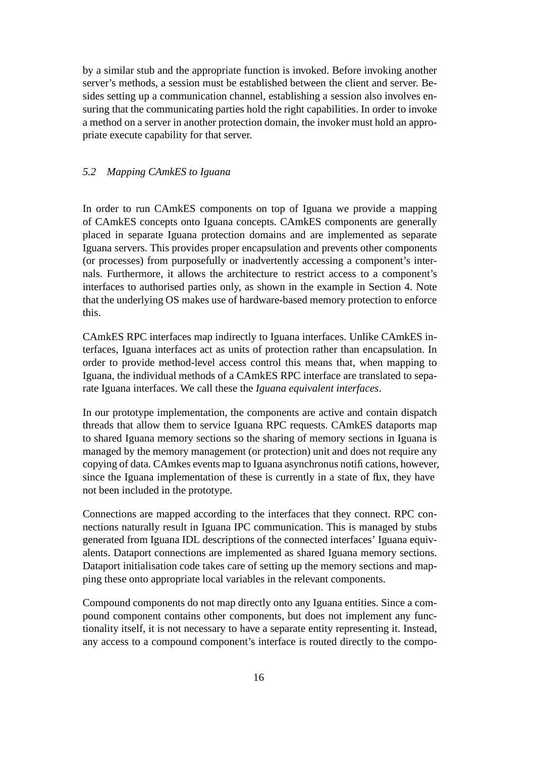by a similar stub and the appropriate function is invoked. Before invoking another server's methods, a session must be established between the client and server. Besides setting up a communication channel, establishing a session also involves ensuring that the communicating parties hold the right capabilities. In order to invoke a method on a server in another protection domain, the invoker must hold an appropriate execute capability for that server.

### *5.2 Mapping CAmkES to Iguana*

In order to run CAmkES components on top of Iguana we provide a mapping of CAmkES concepts onto Iguana concepts. CAmkES components are generally placed in separate Iguana protection domains and are implemented as separate Iguana servers. This provides proper encapsulation and prevents other components (or processes) from purposefully or inadvertently accessing a component's internals. Furthermore, it allows the architecture to restrict access to a component's interfaces to authorised parties only, as shown in the example in Section 4. Note that the underlying OS makes use of hardware-based memory protection to enforce this.

CAmkES RPC interfaces map indirectly to Iguana interfaces. Unlike CAmkES interfaces, Iguana interfaces act as units of protection rather than encapsulation. In order to provide method-level access control this means that, when mapping to Iguana, the individual methods of a CAmkES RPC interface are translated to separate Iguana interfaces. We call these the *Iguana equivalent interfaces*.

In our prototype implementation, the components are active and contain dispatch threads that allow them to service Iguana RPC requests. CAmkES dataports map to shared Iguana memory sections so the sharing of memory sections in Iguana is managed by the memory management (or protection) unit and does not require any copying of data. CAmkes events map to Iguana asynchronus notifications, however, since the Iguana implementation of these is currently in a state of flux, they have not been included in the prototype.

Connections are mapped according to the interfaces that they connect. RPC connections naturally result in Iguana IPC communication. This is managed by stubs generated from Iguana IDL descriptions of the connected interfaces' Iguana equivalents. Dataport connections are implemented as shared Iguana memory sections. Dataport initialisation code takes care of setting up the memory sections and mapping these onto appropriate local variables in the relevant components.

Compound components do not map directly onto any Iguana entities. Since a compound component contains other components, but does not implement any functionality itself, it is not necessary to have a separate entity representing it. Instead, any access to a compound component's interface is routed directly to the compo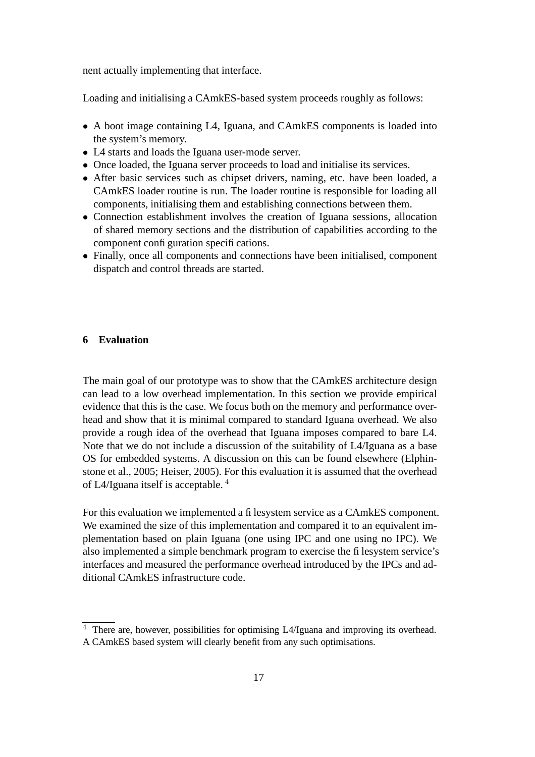nent actually implementing that interface.

Loading and initialising a CAmkES-based system proceeds roughly as follows:

- A boot image containing L4, Iguana, and CAmkES components is loaded into the system's memory.
- L4 starts and loads the Iguana user-mode server.
- Once loaded, the Iguana server proceeds to load and initialise its services.
- After basic services such as chipset drivers, naming, etc. have been loaded, a CAmkES loader routine is run. The loader routine is responsible for loading all components, initialising them and establishing connections between them.
- Connection establishment involves the creation of Iguana sessions, allocation of shared memory sections and the distribution of capabilities according to the component configuration specifications.
- Finally, once all components and connections have been initialised, component dispatch and control threads are started.

#### **6 Evaluation**

The main goal of our prototype was to show that the CAmkES architecture design can lead to a low overhead implementation. In this section we provide empirical evidence that this is the case. We focus both on the memory and performance overhead and show that it is minimal compared to standard Iguana overhead. We also provide a rough idea of the overhead that Iguana imposes compared to bare L4. Note that we do not include a discussion of the suitability of L4/Iguana as a base OS for embedded systems. A discussion on this can be found elsewhere (Elphinstone et al., 2005; Heiser, 2005). For this evaluation it is assumed that the overhead of L4/Iguana itself is acceptable. <sup>4</sup>

For this evaluation we implemented a filesystem service as a CAmkES component. We examined the size of this implementation and compared it to an equivalent implementation based on plain Iguana (one using IPC and one using no IPC). We also implemented a simple benchmark program to exercise the filesystem service's interfaces and measured the performance overhead introduced by the IPCs and additional CAmkES infrastructure code.

<sup>&</sup>lt;sup>4</sup> There are, however, possibilities for optimising L4/Iguana and improving its overhead. A CAmkES based system will clearly benefit from any such optimisations.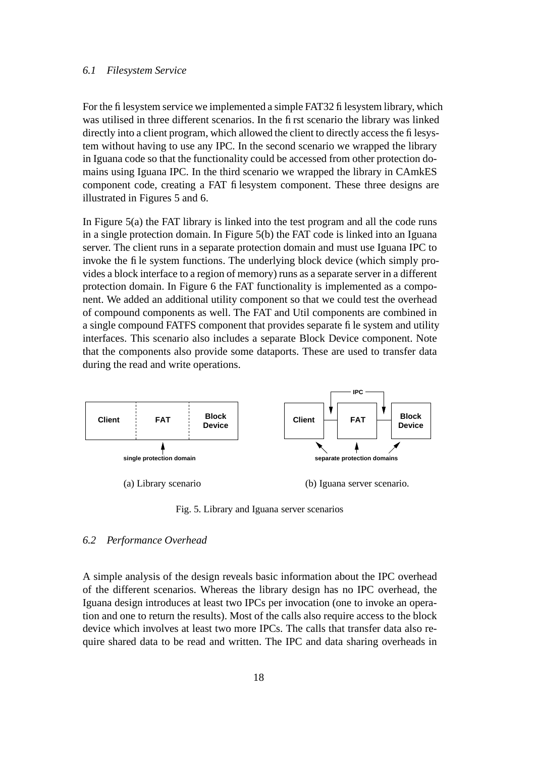#### *6.1 Filesystem Service*

For the filesystem service we implemented a simple FAT32 filesystem library, which was utilised in three different scenarios. In the first scenario the library was linked directly into a client program, which allowed the client to directly access the filesystem without having to use any IPC. In the second scenario we wrapped the library in Iguana code so that the functionality could be accessed from other protection domains using Iguana IPC. In the third scenario we wrapped the library in CAmkES component code, creating a FAT filesystem component. These three designs are illustrated in Figures 5 and 6.

In Figure 5(a) the FAT library is linked into the test program and all the code runs in a single protection domain. In Figure 5(b) the FAT code is linked into an Iguana server. The client runs in a separate protection domain and must use Iguana IPC to invoke the file system functions. The underlying block device (which simply provides a block interface to a region of memory) runs as a separate server in a different protection domain. In Figure 6 the FAT functionality is implemented as a component. We added an additional utility component so that we could test the overhead of compound components as well. The FAT and Util components are combined in a single compound FATFS component that provides separate file system and utility interfaces. This scenario also includes a separate Block Device component. Note that the components also provide some dataports. These are used to transfer data during the read and write operations.



Fig. 5. Library and Iguana server scenarios

### *6.2 Performance Overhead*

A simple analysis of the design reveals basic information about the IPC overhead of the different scenarios. Whereas the library design has no IPC overhead, the Iguana design introduces at least two IPCs per invocation (one to invoke an operation and one to return the results). Most of the calls also require access to the block device which involves at least two more IPCs. The calls that transfer data also require shared data to be read and written. The IPC and data sharing overheads in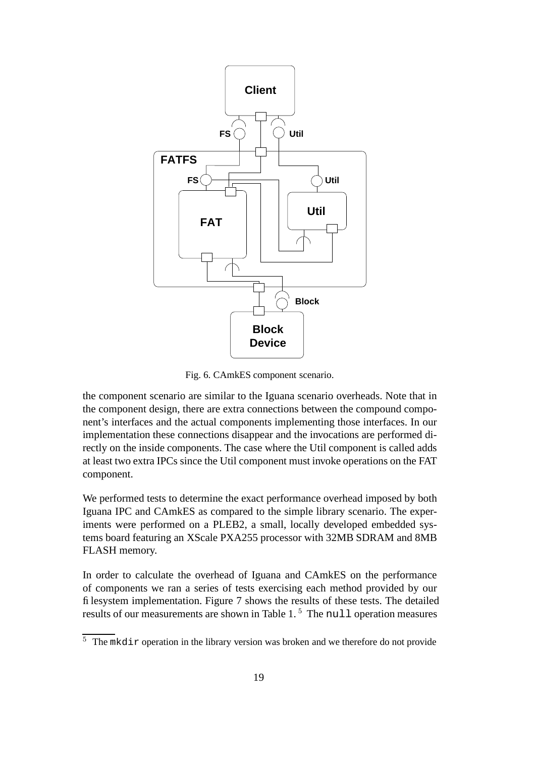

Fig. 6. CAmkES component scenario.

the component scenario are similar to the Iguana scenario overheads. Note that in the component design, there are extra connections between the compound component's interfaces and the actual components implementing those interfaces. In our implementation these connections disappear and the invocations are performed directly on the inside components. The case where the Util component is called adds at least two extra IPCs since the Util component must invoke operations on the FAT component.

We performed tests to determine the exact performance overhead imposed by both Iguana IPC and CAmkES as compared to the simple library scenario. The experiments were performed on a PLEB2, a small, locally developed embedded systems board featuring an XScale PXA255 processor with 32MB SDRAM and 8MB FLASH memory.

In order to calculate the overhead of Iguana and CAmkES on the performance of components we ran a series of tests exercising each method provided by our filesystem implementation. Figure 7 shows the results of these tests. The detailed results of our measurements are shown in Table  $1<sup>5</sup>$ . The null operation measures

 $\frac{5}{10}$  The mkdir operation in the library version was broken and we therefore do not provide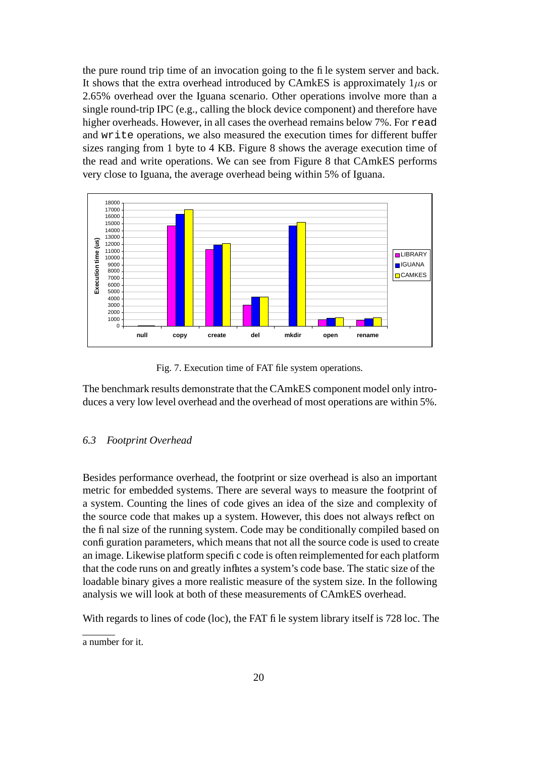the pure round trip time of an invocation going to the file system server and back. It shows that the extra overhead introduced by CAmkES is approximately  $1\mu s$  or 2.65% overhead over the Iguana scenario. Other operations involve more than a single round-trip IPC (e.g., calling the block device component) and therefore have higher overheads. However, in all cases the overhead remains below 7%. For read and write operations, we also measured the execution times for different buffer sizes ranging from 1 byte to 4 KB. Figure 8 shows the average execution time of the read and write operations. We can see from Figure 8 that CAmkES performs very close to Iguana, the average overhead being within 5% of Iguana.



Fig. 7. Execution time of FAT file system operations.

The benchmark results demonstrate that the CAmkES component model only introduces a very low level overhead and the overhead of most operations are within 5%.

### *6.3 Footprint Overhead*

Besides performance overhead, the footprint or size overhead is also an important metric for embedded systems. There are several ways to measure the footprint of a system. Counting the lines of code gives an idea of the size and complexity of the source code that makes up a system. However, this does not always reflect on the final size of the running system. Code may be conditionally compiled based on configuration parameters, which means that not all the source code is used to create an image. Likewise platform specific code is often reimplemented for each platform that the code runs on and greatly inflates a system's code base. The static size of the loadable binary gives a more realistic measure of the system size. In the following analysis we will look at both of these measurements of CAmkES overhead.

With regards to lines of code (loc), the FAT file system library itself is 728 loc. The

a number for it.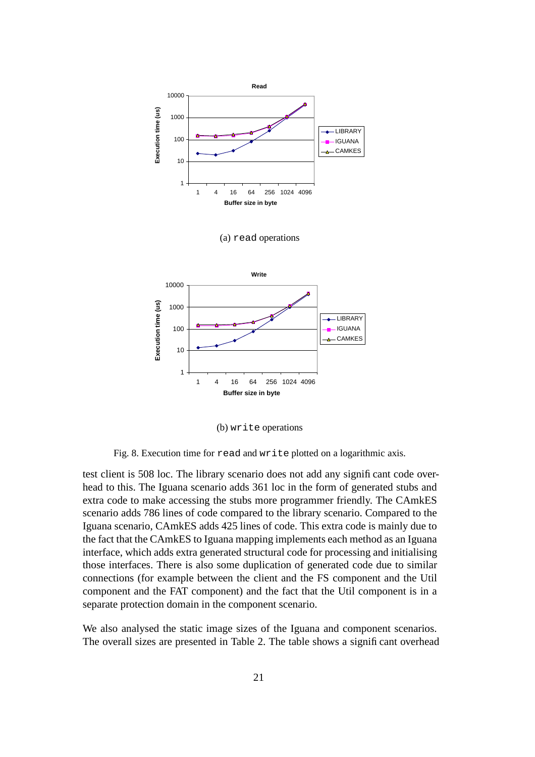

(b) write operations

Fig. 8. Execution time for read and write plotted on a logarithmic axis.

test client is 508 loc. The library scenario does not add any significant code overhead to this. The Iguana scenario adds 361 loc in the form of generated stubs and extra code to make accessing the stubs more programmer friendly. The CAmkES scenario adds 786 lines of code compared to the library scenario. Compared to the Iguana scenario, CAmkES adds 425 lines of code. This extra code is mainly due to the fact that the CAmkES to Iguana mapping implements each method as an Iguana interface, which adds extra generated structural code for processing and initialising those interfaces. There is also some duplication of generated code due to similar connections (for example between the client and the FS component and the Util component and the FAT component) and the fact that the Util component is in a separate protection domain in the component scenario.

We also analysed the static image sizes of the Iguana and component scenarios. The overall sizes are presented in Table 2. The table shows a significant overhead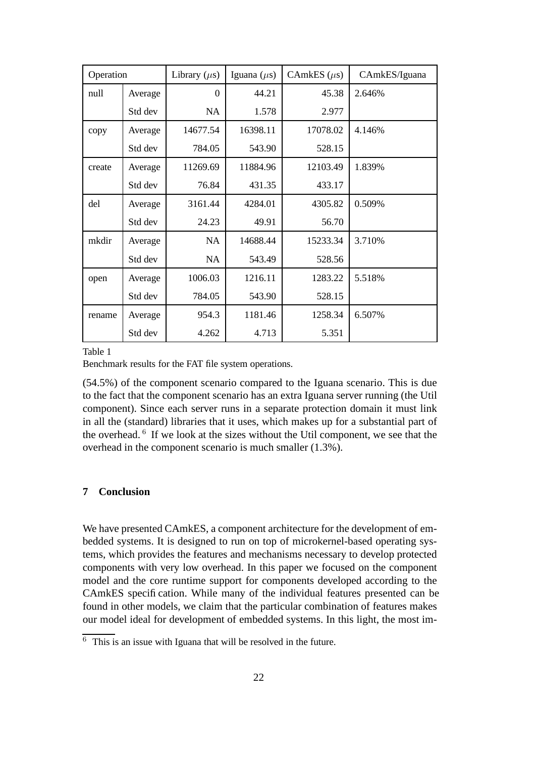| Operation |         | Library $(\mu s)$ | Iguana $(\mu s)$ | CAmkES $(\mu s)$ | CAmkES/Iguana |
|-----------|---------|-------------------|------------------|------------------|---------------|
| null      | Average | $\Omega$          | 44.21            | 45.38            | 2.646%        |
|           | Std dev | NA                | 1.578            | 2.977            |               |
| copy      | Average | 14677.54          | 16398.11         | 17078.02         | 4.146%        |
|           | Std dev | 784.05            | 543.90           | 528.15           |               |
| create    | Average | 11269.69          | 11884.96         | 12103.49         | 1.839%        |
|           | Std dev | 76.84             | 431.35           | 433.17           |               |
| del       | Average | 3161.44           | 4284.01          | 4305.82          | 0.509%        |
|           | Std dev | 24.23             | 49.91            | 56.70            |               |
| mkdir     | Average | <b>NA</b>         | 14688.44         | 15233.34         | 3.710%        |
|           | Std dev | NA                | 543.49           | 528.56           |               |
| open      | Average | 1006.03           | 1216.11          | 1283.22          | 5.518%        |
|           | Std dev | 784.05            | 543.90           | 528.15           |               |
| rename    | Average | 954.3             | 1181.46          | 1258.34          | 6.507%        |
|           | Std dev | 4.262             | 4.713            | 5.351            |               |

Table 1

Benchmark results for the FAT file system operations.

(54.5%) of the component scenario compared to the Iguana scenario. This is due to the fact that the component scenario has an extra Iguana server running (the Util component). Since each server runs in a separate protection domain it must link in all the (standard) libraries that it uses, which makes up for a substantial part of the overhead. <sup>6</sup> If we look at the sizes without the Util component, we see that the overhead in the component scenario is much smaller (1.3%).

#### **7 Conclusion**

We have presented CAmkES, a component architecture for the development of embedded systems. It is designed to run on top of microkernel-based operating systems, which provides the features and mechanisms necessary to develop protected components with very low overhead. In this paper we focused on the component model and the core runtime support for components developed according to the CAmkES specification. While many of the individual features presented can be found in other models, we claim that the particular combination of features makes our model ideal for development of embedded systems. In this light, the most im-

 $\overline{6}$  This is an issue with Iguana that will be resolved in the future.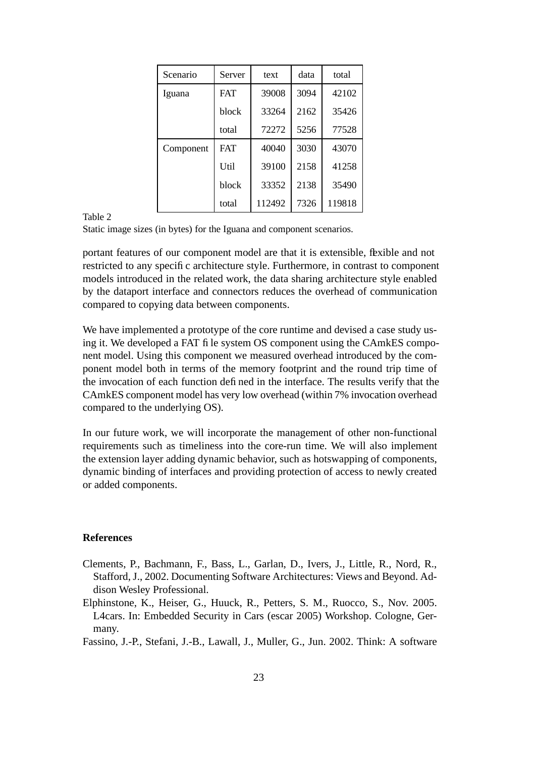| Scenario  | Server           | text   | data | total  |
|-----------|------------------|--------|------|--------|
| Iguana    | <b>FAT</b>       | 39008  | 3094 | 42102  |
|           | block            | 33264  | 2162 | 35426  |
|           | total            | 72272  | 5256 | 77528  |
| Component | <b>FAT</b>       | 40040  | 3030 | 43070  |
|           | U <sub>til</sub> | 39100  | 2158 | 41258  |
|           | block            | 33352  | 2138 | 35490  |
|           | total            | 112492 | 7326 | 119818 |

Table 2

Static image sizes (in bytes) for the Iguana and component scenarios.

portant features of our component model are that it is extensible, flexible and not restricted to any specific architecture style. Furthermore, in contrast to component models introduced in the related work, the data sharing architecture style enabled by the dataport interface and connectors reduces the overhead of communication compared to copying data between components.

We have implemented a prototype of the core runtime and devised a case study using it. We developed a FAT file system OS component using the CAmkES component model. Using this component we measured overhead introduced by the component model both in terms of the memory footprint and the round trip time of the invocation of each function defined in the interface. The results verify that the CAmkES component model has very low overhead (within 7% invocation overhead compared to the underlying OS).

In our future work, we will incorporate the management of other non-functional requirements such as timeliness into the core-run time. We will also implement the extension layer adding dynamic behavior, such as hotswapping of components, dynamic binding of interfaces and providing protection of access to newly created or added components.

#### **References**

- Clements, P., Bachmann, F., Bass, L., Garlan, D., Ivers, J., Little, R., Nord, R., Stafford, J., 2002. Documenting Software Architectures: Views and Beyond. Addison Wesley Professional.
- Elphinstone, K., Heiser, G., Huuck, R., Petters, S. M., Ruocco, S., Nov. 2005. L4cars. In: Embedded Security in Cars (escar 2005) Workshop. Cologne, Germany.
- Fassino, J.-P., Stefani, J.-B., Lawall, J., Muller, G., Jun. 2002. Think: A software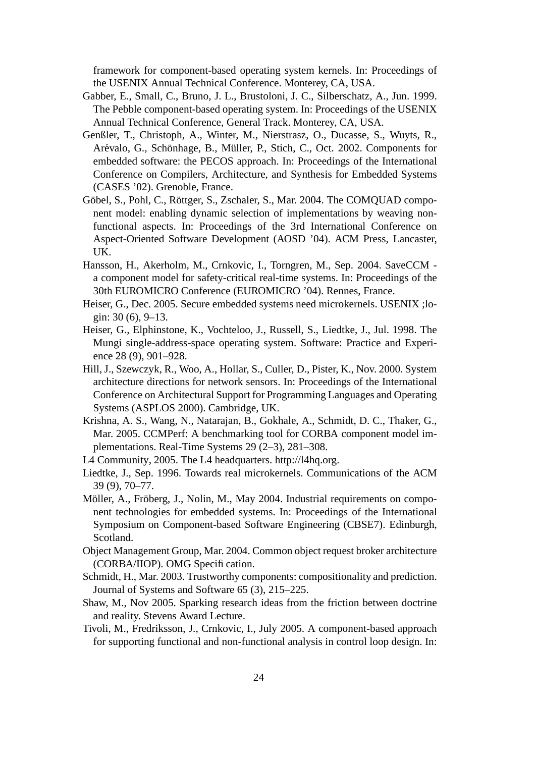framework for component-based operating system kernels. In: Proceedings of the USENIX Annual Technical Conference. Monterey, CA, USA.

- Gabber, E., Small, C., Bruno, J. L., Brustoloni, J. C., Silberschatz, A., Jun. 1999. The Pebble component-based operating system. In: Proceedings of the USENIX Annual Technical Conference, General Track. Monterey, CA, USA.
- Genßler, T., Christoph, A., Winter, M., Nierstrasz, O., Ducasse, S., Wuyts, R., Arévalo, G., Schönhage, B., Müller, P., Stich, C., Oct. 2002. Components for embedded software: the PECOS approach. In: Proceedings of the International Conference on Compilers, Architecture, and Synthesis for Embedded Systems (CASES '02). Grenoble, France.
- Göbel, S., Pohl, C., Röttger, S., Zschaler, S., Mar. 2004. The COMQUAD component model: enabling dynamic selection of implementations by weaving nonfunctional aspects. In: Proceedings of the 3rd International Conference on Aspect-Oriented Software Development (AOSD '04). ACM Press, Lancaster, UK.
- Hansson, H., Akerholm, M., Crnkovic, I., Torngren, M., Sep. 2004. SaveCCM a component model for safety-critical real-time systems. In: Proceedings of the 30th EUROMICRO Conference (EUROMICRO '04). Rennes, France.
- Heiser, G., Dec. 2005. Secure embedded systems need microkernels. USENIX ;login: 30 (6), 9–13.
- Heiser, G., Elphinstone, K., Vochteloo, J., Russell, S., Liedtke, J., Jul. 1998. The Mungi single-address-space operating system. Software: Practice and Experience 28 (9), 901–928.
- Hill, J., Szewczyk, R., Woo, A., Hollar, S., Culler, D., Pister, K., Nov. 2000. System architecture directions for network sensors. In: Proceedings of the International Conference on Architectural Support for Programming Languages and Operating Systems (ASPLOS 2000). Cambridge, UK.
- Krishna, A. S., Wang, N., Natarajan, B., Gokhale, A., Schmidt, D. C., Thaker, G., Mar. 2005. CCMPerf: A benchmarking tool for CORBA component model implementations. Real-Time Systems 29 (2–3), 281–308.
- L4 Community, 2005. The L4 headquarters. http://l4hq.org.
- Liedtke, J., Sep. 1996. Towards real microkernels. Communications of the ACM 39 (9), 70–77.
- Möller, A., Fröberg, J., Nolin, M., May 2004. Industrial requirements on component technologies for embedded systems. In: Proceedings of the International Symposium on Component-based Software Engineering (CBSE7). Edinburgh, Scotland.
- Object Management Group, Mar. 2004. Common object request broker architecture (CORBA/IIOP). OMG Specification.
- Schmidt, H., Mar. 2003. Trustworthy components: compositionality and prediction. Journal of Systems and Software 65 (3), 215–225.
- Shaw, M., Nov 2005. Sparking research ideas from the friction between doctrine and reality. Stevens Award Lecture.
- Tivoli, M., Fredriksson, J., Crnkovic, I., July 2005. A component-based approach for supporting functional and non-functional analysis in control loop design. In: